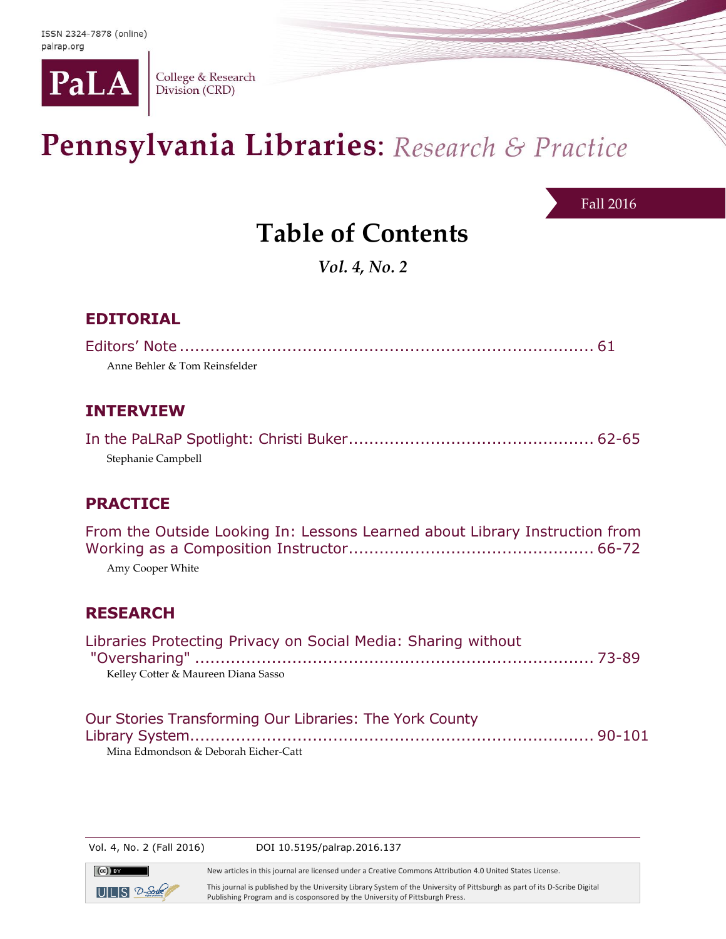

College & Research Division (CRD)

# Pennsylvania Libraries: Research & Practice

Fall 2016

## **Table of Contents**

*Vol. 4, No. 2*

#### **EDITORIAL**

| Anne Behler & Tom Reinsfelder |  |
|-------------------------------|--|

#### **INTERVIEW**

| Stephanie Campbell |  |
|--------------------|--|

#### **PRACTICE**

| From the Outside Looking In: Lessons Learned about Library Instruction from |  |  |
|-----------------------------------------------------------------------------|--|--|
|                                                                             |  |  |
| Amy Cooper White                                                            |  |  |

#### **RESEARCH**

| Libraries Protecting Privacy on Social Media: Sharing without |  |
|---------------------------------------------------------------|--|
|                                                               |  |
| Kelley Cotter & Maureen Diana Sasso                           |  |

| Our Stories Transforming Our Libraries: The York County |  |
|---------------------------------------------------------|--|
|                                                         |  |
| Mina Edmondson & Deborah Eicher-Catt                    |  |

 $\left(\mathrm{cc}\right)$  by

Vol. 4, No. 2 (Fall 2016) DOI 10.5195/palrap.2016.137

New articles in this journal are licensed under a Creative Commons Attribution 4.0 United States License.

 $ULI S 2$ -Sorbe

This journal is published by the University Library System of the University of Pittsburgh as part of its D-Scribe Digital Publishing Program and is cosponsored by the University of Pittsburgh Press.